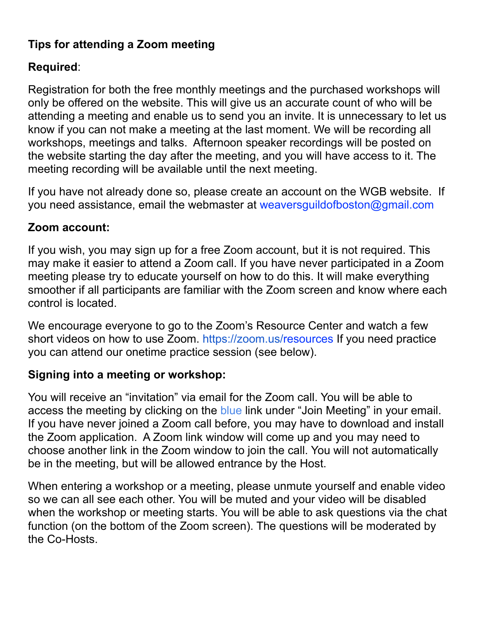### **Tips for attending a Zoom meeting**

## **Required**:

Registration for both the free monthly meetings and the purchased workshops will only be offered on the website. This will give us an accurate count of who will be attending a meeting and enable us to send you an invite. It is unnecessary to let us know if you can not make a meeting at the last moment. We will be recording all workshops, meetings and talks. Afternoon speaker recordings will be posted on the website starting the day after the meeting, and you will have access to it. The meeting recording will be available until the next meeting.

If you have not already done so, please create an account on the WGB website. If you need assistance, email the webmaster at weaversguildofboston@gmail.com

## **Zoom account:**

If you wish, you may sign up for a free Zoom account, but it is not required. This may make it easier to attend a Zoom call. If you have never participated in a Zoom meeting please try to educate yourself on how to do this. It will make everything smoother if all participants are familiar with the Zoom screen and know where each control is located.

We encourage everyone to go to the Zoom's Resource Center and watch a few short videos on how to use Zoom. https://zoom.us/resources If you need practice you can attend our onetime practice session (see below).

#### **Signing into a meeting or workshop:**

You will receive an "invitation" via email for the Zoom call. You will be able to access the meeting by clicking on the blue link under "Join Meeting" in your email. If you have never joined a Zoom call before, you may have to download and install the Zoom application. A Zoom link window will come up and you may need to choose another link in the Zoom window to join the call. You will not automatically be in the meeting, but will be allowed entrance by the Host.

When entering a workshop or a meeting, please unmute yourself and enable video so we can all see each other. You will be muted and your video will be disabled when the workshop or meeting starts. You will be able to ask questions via the chat function (on the bottom of the Zoom screen). The questions will be moderated by the Co-Hosts.